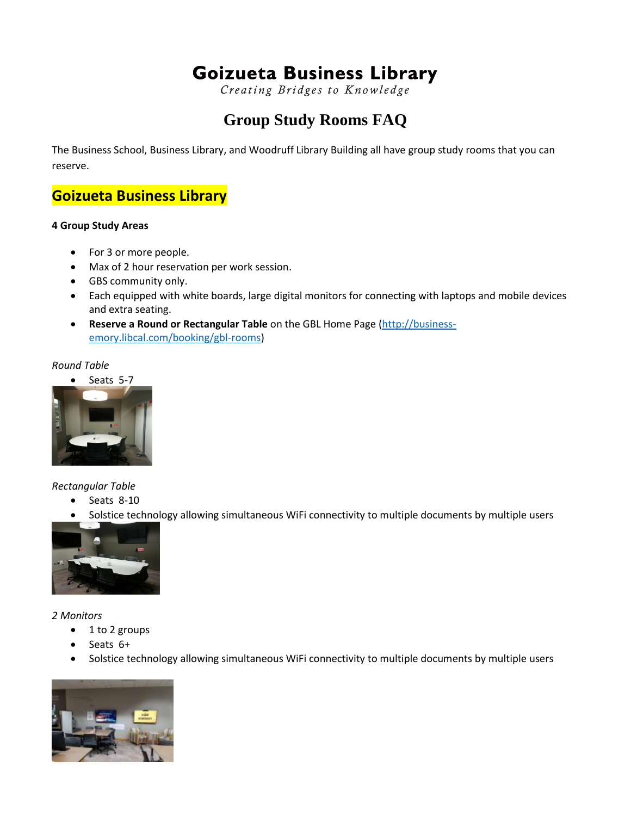# **Goizueta Business Library**

Creating Bridges to Knowledge

# **Group Study Rooms FAQ**

The Business School, Business Library, and Woodruff Library Building all have group study rooms that you can reserve.

# **Goizueta Business Library**

#### **4 Group Study Areas**

- For 3 or more people.
- Max of 2 hour reservation per work session.
- GBS community only.
- Each equipped with white boards, large digital monitors for connecting with laptops and mobile devices and extra seating.
- **Reserve a Round or Rectangular Table** on the GBL Home Page [\(http://business](http://business-emory.libcal.com/booking/gbl-rooms)[emory.libcal.com/booking/gbl-rooms\)](http://business-emory.libcal.com/booking/gbl-rooms)

#### *Round Table*





#### *Rectangular Table*

- $\bullet$  Seats 8-10
- Solstice technology allowing simultaneous WiFi connectivity to multiple documents by multiple users



#### *2 Monitors*

- $\bullet$  1 to 2 groups
- Seats 6+
- Solstice technology allowing simultaneous WiFi connectivity to multiple documents by multiple users

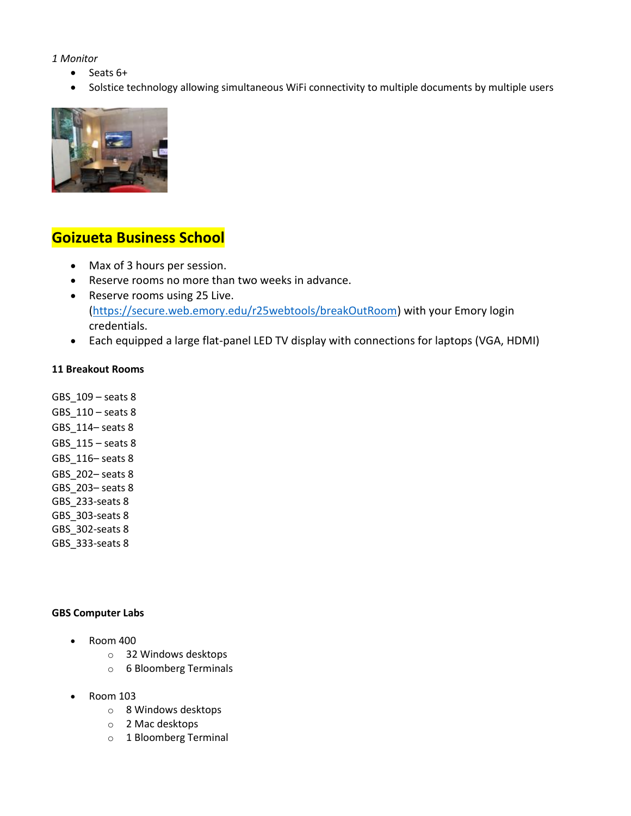#### *1 Monitor*

- $\bullet$  Seats  $6+$
- Solstice technology allowing simultaneous WiFi connectivity to multiple documents by multiple users



# **Goizueta Business School**

- Max of 3 hours per session.
- Reserve rooms no more than two weeks in advance.
- Reserve rooms using 25 Live. [\(https://secure.web.emory.edu/r25webtools/breakOutRoom\)](https://secure.web.emory.edu/r25webtools/breakOutRoom) with your Emory login credentials.
- Each equipped a large flat-panel LED TV display with connections for laptops (VGA, HDMI)

#### **11 Breakout Rooms**

GBS\_109 – seats 8 GBS\_110 – seats 8 GBS\_114– seats 8 GBS\_115 – seats 8 GBS\_116– seats 8 GBS\_202– seats 8 GBS\_203– seats 8 GBS\_233-seats 8 GBS\_303-seats 8 GBS 302-seats 8 GBS\_333-seats 8

#### **GBS Computer Labs**

- Room 400
	- o 32 Windows desktops
	- o 6 Bloomberg Terminals
- Room 103
	- o 8 Windows desktops
	- o 2 Mac desktops
	- o 1 Bloomberg Terminal